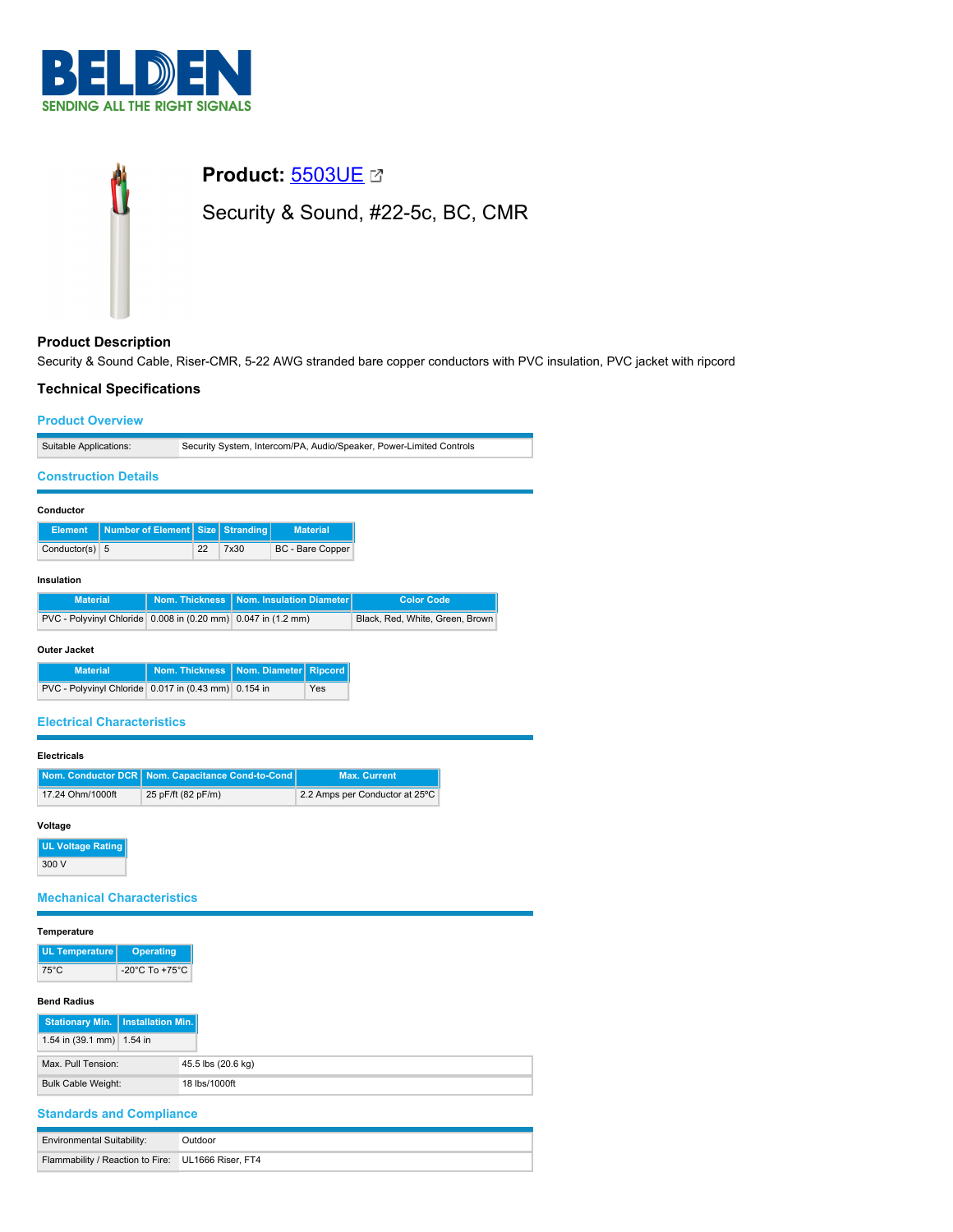



# **Product Description**

Security & Sound Cable, Riser-CMR, 5-22 AWG stranded bare copper conductors with PVC insulation, PVC jacket with ripcord

# **Technical Specifications**

### **Product Overview**

| Suitable Applications: | Security System, Intercom/PA, Audio/Speaker, Power-Limited Controls |
|------------------------|---------------------------------------------------------------------|

## **Construction Details**

| Conductor |
|-----------|
|-----------|

|                  | Element   Number of Element   Size   Stranding |    |      | <b>Material</b>  |
|------------------|------------------------------------------------|----|------|------------------|
| Conductor(s) $5$ |                                                | 22 | 7x30 | BC - Bare Copper |

#### **Insulation**

| <b>Material</b>                                               | Nom. Thickness   Nom. Insulation Diameter | Color Code                      |
|---------------------------------------------------------------|-------------------------------------------|---------------------------------|
| PVC - Polyvinyl Chloride 0.008 in (0.20 mm) 0.047 in (1.2 mm) |                                           | Black, Red. White, Green, Brown |

## **Outer Jacket**

| <b>Material</b>                                      | Nom. Thickness   Nom. Diameter   Ripcord |            |
|------------------------------------------------------|------------------------------------------|------------|
| PVC - Polyvinyl Chloride 0.017 in (0.43 mm) 0.154 in |                                          | <b>Yes</b> |

### **Electrical Characteristics**

#### **Electricals**

|                  | Nom. Conductor DCR   Nom. Capacitance Cond-to-Cond | <b>Max. Current</b>            |
|------------------|----------------------------------------------------|--------------------------------|
| 17.24 Ohm/1000ft | 25 pF/ft (82 pF/m)                                 | 2.2 Amps per Conductor at 25°C |

#### **Voltage**

**UL Voltage Rating** 300 V

# **Mechanical Characteristics**

| Temperature |
|-------------|
|-------------|

| <b>UL Temperature</b> | Operating                          |
|-----------------------|------------------------------------|
| 75°C                  | $-20^{\circ}$ C To $+75^{\circ}$ C |

## **Bend Radius**

| Stationary Min.   Installation Min. |                    |
|-------------------------------------|--------------------|
| 1.54 in $(39.1 \text{ mm})$ 1.54 in |                    |
| Max. Pull Tension:                  | 45.5 lbs (20.6 kg) |
| <b>Bulk Cable Weight:</b>           | 18 lbs/1000ft      |

## **Standards and Compliance**

| <b>Environmental Suitability:</b>                  | Dutdoor |
|----------------------------------------------------|---------|
| Flammability / Reaction to Fire: UL1666 Riser, FT4 |         |